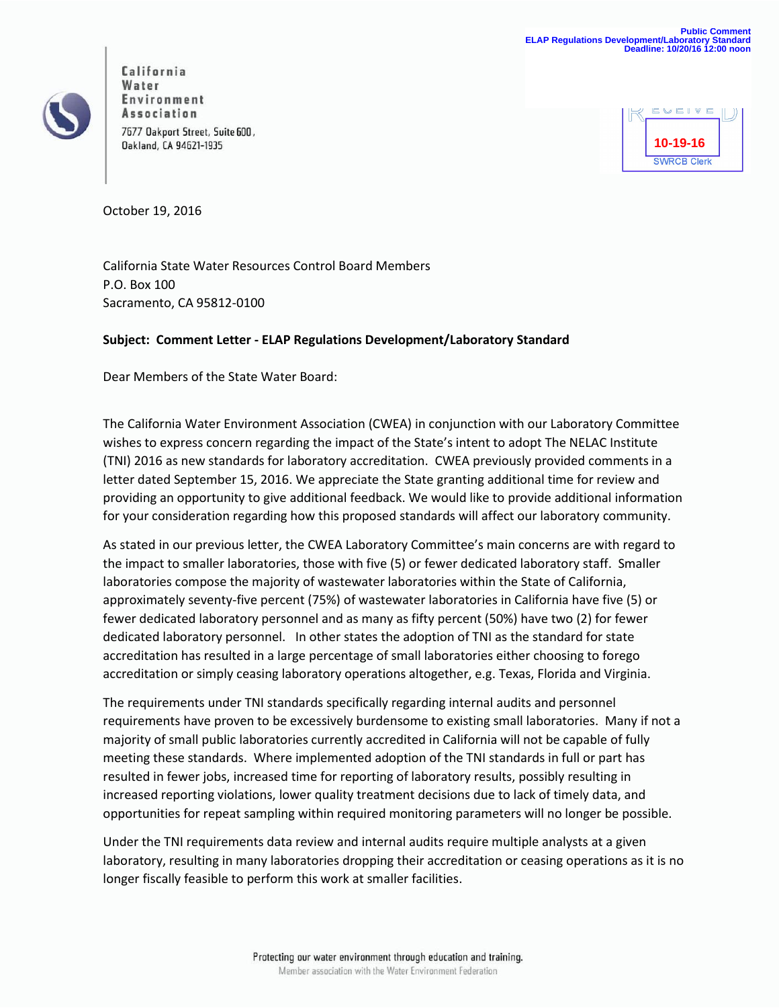

California State Water Resources Control Board Members **California** Water Environment Association 7677 Oakport Street, Suite 600, Oakland, CA 94621-1935



October 19, 2016

California State Water Resources Control Board Members P.O. Box 100 Sacramento, CA 95812-0100

## **Subject: Comment Letter - ELAP Regulations Development/Laboratory Standard**

Dear Members of the State Water Board:

The California Water Environment Association (CWEA) in conjunction with our Laboratory Committee wishes to express concern regarding the impact of the State's intent to adopt The NELAC Institute (TNI) 2016 as new standards for laboratory accreditation. CWEA previously provided comments in a letter dated September 15, 2016. We appreciate the State granting additional time for review and providing an opportunity to give additional feedback. We would like to provide additional information for your consideration regarding how this proposed standards will affect our laboratory community.

As stated in our previous letter, the CWEA Laboratory Committee's main concerns are with regard to the impact to smaller laboratories, those with five (5) or fewer dedicated laboratory staff. Smaller laboratories compose the majority of wastewater laboratories within the State of California, approximately seventy-five percent (75%) of wastewater laboratories in California have five (5) or fewer dedicated laboratory personnel and as many as fifty percent (50%) have two (2) for fewer dedicated laboratory personnel. In other states the adoption of TNI as the standard for state accreditation has resulted in a large percentage of small laboratories either choosing to forego accreditation or simply ceasing laboratory operations altogether, e.g. Texas, Florida and Virginia.

The requirements under TNI standards specifically regarding internal audits and personnel requirements have proven to be excessively burdensome to existing small laboratories. Many if not a majority of small public laboratories currently accredited in California will not be capable of fully meeting these standards. Where implemented adoption of the TNI standards in full or part has resulted in fewer jobs, increased time for reporting of laboratory results, possibly resulting in increased reporting violations, lower quality treatment decisions due to lack of timely data, and opportunities for repeat sampling within required monitoring parameters will no longer be possible.

Under the TNI requirements data review and internal audits require multiple analysts at a given laboratory, resulting in many laboratories dropping their accreditation or ceasing operations as it is no longer fiscally feasible to perform this work at smaller facilities.